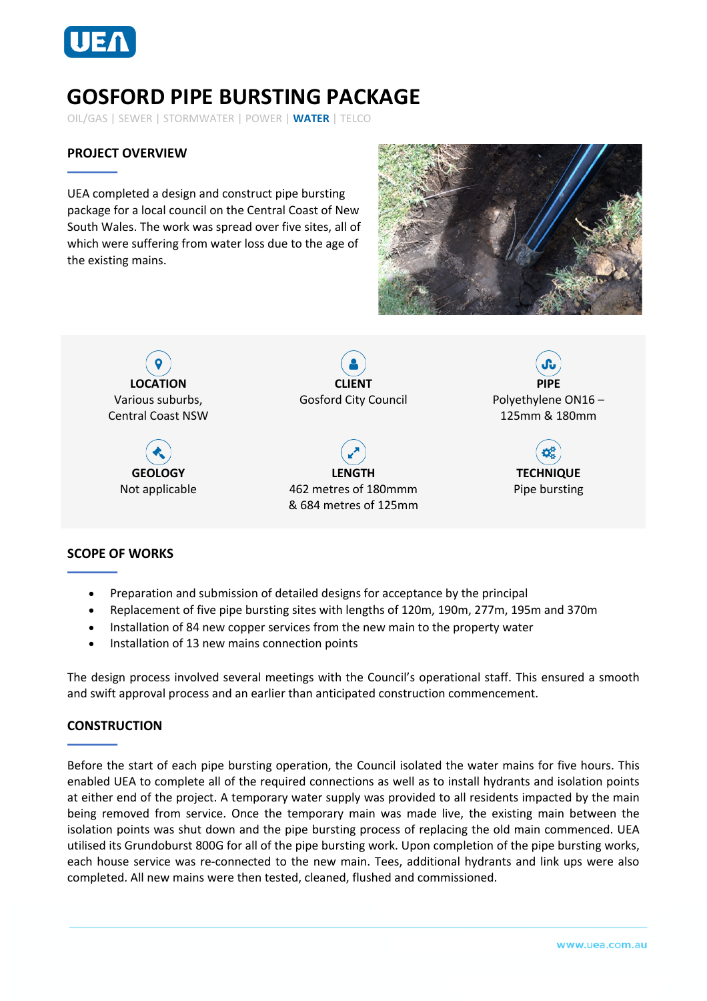

# **GOSFORD PIPE BURSTING PACKAGE**

OIL/GAS | SEWER | STORMWATER | POWER | **WATER** | TELCO

## **PROJECT OVERVIEW**

UEA completed a design and construct pipe bursting package for a local council on the Central Coast of New South Wales. The work was spread over five sites, all of which were suffering from water loss due to the age of the existing mains.





### **SCOPE OF WORKS**

- Preparation and submission of detailed designs for acceptance by the principal
- Replacement of five pipe bursting sites with lengths of 120m, 190m, 277m, 195m and 370m
- Installation of 84 new copper services from the new main to the property water
- Installation of 13 new mains connection points

The design process involved several meetings with the Council's operational staff. This ensured a smooth and swift approval process and an earlier than anticipated construction commencement.

### **CONSTRUCTION**

Before the start of each pipe bursting operation, the Council isolated the water mains for five hours. This enabled UEA to complete all of the required connections as well as to install hydrants and isolation points at either end of the project. A temporary water supply was provided to all residents impacted by the main being removed from service. Once the temporary main was made live, the existing main between the isolation points was shut down and the pipe bursting process of replacing the old main commenced. UEA utilised its Grundoburst 800G for all of the pipe bursting work. Upon completion of the pipe bursting works, each house service was re-connected to the new main. Tees, additional hydrants and link ups were also completed. All new mains were then tested, cleaned, flushed and commissioned.